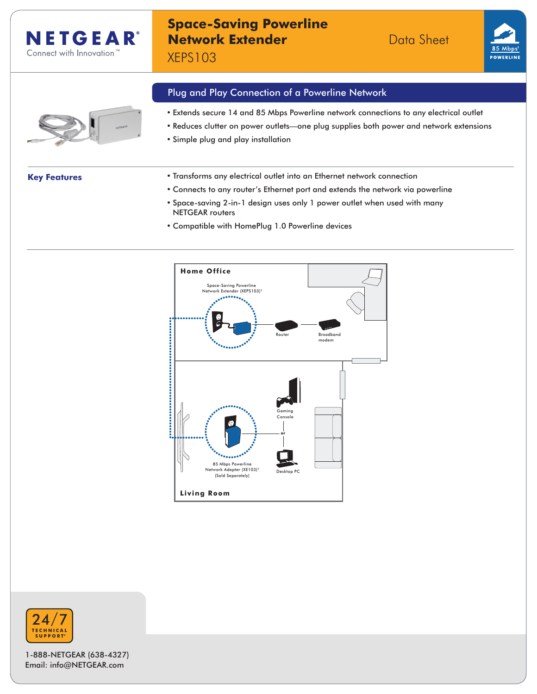

# **Space-Saving Powerline Network Extender Data Sheet**

XEPS103





- Plug and Play Connection of a Powerline Network
- Extends secure 14 and 85 Mbps Powerline network connections to any electrical outlet
- Reduces clutter on power outlets—one plug supplies both power and network extensions
- Simple plug and play installation

- **Key Features** Transforms any electrical outlet into an Ethernet network connection
	- Connects to any router's Ethernet port and extends the network via powerline
	- Space-saving 2-in-1 design uses only 1 power outlet when used with many NETGEAR routers
	- Compatible with HomePlug 1.0 Powerline devices





1-888-NETGEAR (638-4327) Email: info@NETGEAR.com